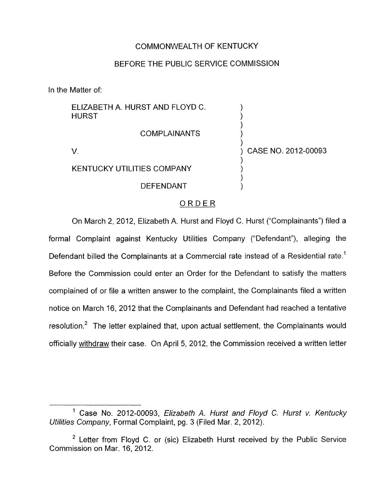## COMMONWEALTH OF KENTUCKY

## BEFORE THE PUBLIC SERVICE COMMISSION

In the Matter of:

| ELIZABETH A. HURST AND FLOYD C.<br><b>HURST</b> |                     |
|-------------------------------------------------|---------------------|
| <b>COMPLAINANTS</b>                             |                     |
|                                                 | CASE NO. 2012-00093 |
| KENTUCKY UTILITIES COMPANY                      |                     |
| <b>DEFENDANT</b>                                |                     |

## ORDER

On March 2, 2012, Elizabeth A. Hurst and Floyd C. Hurst ("Complainants") filed a formal Complaint against Kentucky Utilities Company ("Defendant"), alleging the Defendant billed the Complainants at a Commercial rate instead of a Residential rate.<sup>1</sup> Before the Commission could enter an Order for the Defendant to satisfy the matters complained of or file a written answer to the complaint, the Complainants filed a written notice on March 16, 2012 that the Complainants and Defendant had reached a tentative resolution.<sup>2</sup> The letter explained that, upon actual settlement, the Complainants would officially withdraw their case. On April 5, 2012, the Commission received a written letter

<sup>&#</sup>x27; Case No. 2012-00093, *Elizabefh A. Hurst and Floyd C. Hursf v. Kentucky Utilities Company,* Formal Complaint, pg. 3 (Filed Mar. 2, 2012).

 $2$  Letter from Floyd C. or (sic) Elizabeth Hurst received by the Public Service Commission on Mar. 16, 2012.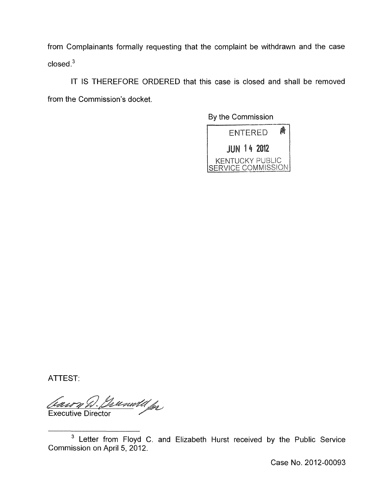from Complainants formally requesting that the complaint be withdrawn and the case  $\frac{1}{2}$ closed<sup>3</sup>

IT IS THEREFORE ORDERED that this case is closed and shall be removed from the Commission's docket.

By the Commission



ATTEST:

Cassy W. German Jose

Case No. 2012-00093

Letter from Floyd C. and Elizabeth Hurst received by the Public Service Commission on April 5, 2012.